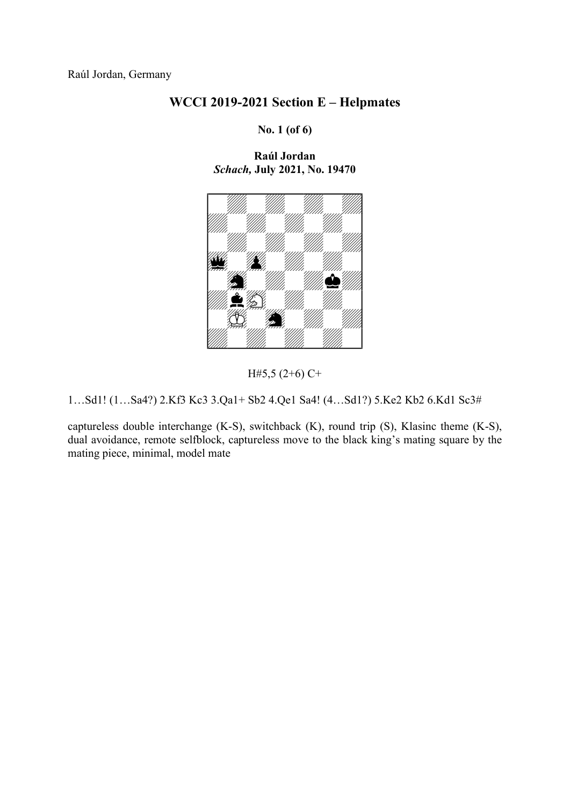No. 1 (of 6)

Raúl Jordan Schach, July 2021, No. 19470



H#5,5 (2+6) C+

1…Sd1! (1…Sa4?) 2.Kf3 Kc3 3.Qa1+ Sb2 4.Qe1 Sa4! (4…Sd1?) 5.Ke2 Kb2 6.Kd1 Sc3#

captureless double interchange (K-S), switchback (K), round trip (S), Klasinc theme (K-S), dual avoidance, remote selfblock, captureless move to the black king's mating square by the mating piece, minimal, model mate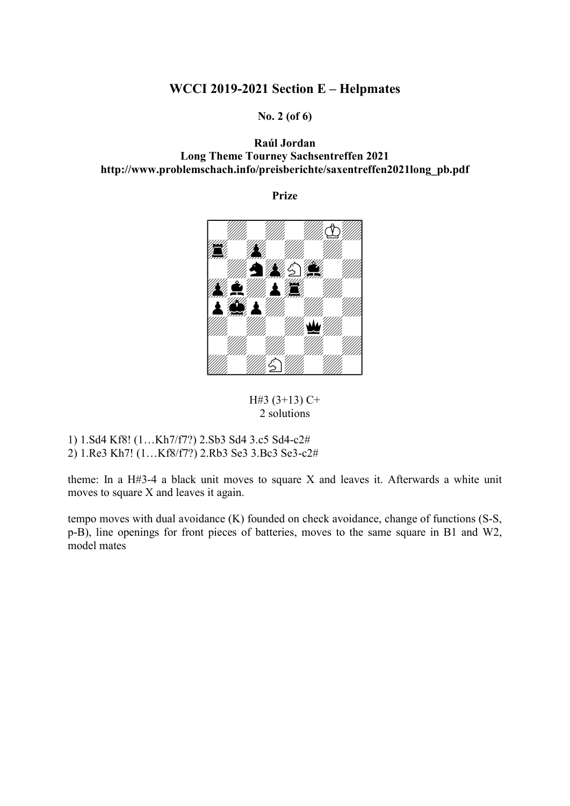No. 2 (of 6)

### Raúl Jordan Long Theme Tourney Sachsentreffen 2021 http://www.problemschach.info/preisberichte/saxentreffen2021long\_pb.pdf

Prize



H#3 (3+13) C+ 2 solutions

1) 1.Sd4 Kf8! (1…Kh7/f7?) 2.Sb3 Sd4 3.c5 Sd4-c2#

2) 1.Re3 Kh7! (1…Kf8/f7?) 2.Rb3 Se3 3.Bc3 Se3-c2#

theme: In a H#3-4 a black unit moves to square X and leaves it. Afterwards a white unit moves to square X and leaves it again.

tempo moves with dual avoidance (K) founded on check avoidance, change of functions (S-S, p-B), line openings for front pieces of batteries, moves to the same square in B1 and W2, model mates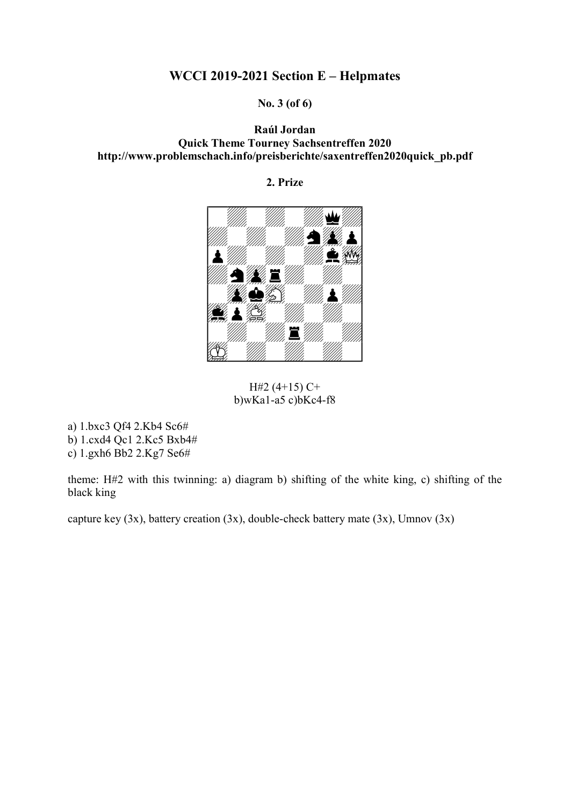No. 3 (of 6)

Raúl Jordan Quick Theme Tourney Sachsentreffen 2020 http://www.problemschach.info/preisberichte/saxentreffen2020quick\_pb.pdf

2. Prize



H#2  $(4+15)$  C+  $b)$ wKa1-a5 c) $b$ Kc4-f8

a) 1.bxc3 Qf4 2.Kb4 Sc6#

b) 1.cxd4 Qc1 2.Kc5 Bxb4#

c) 1.gxh6 Bb2 2.Kg7 Se6#

theme: H#2 with this twinning: a) diagram b) shifting of the white king, c) shifting of the black king

capture key  $(3x)$ , battery creation  $(3x)$ , double-check battery mate  $(3x)$ , Umnov  $(3x)$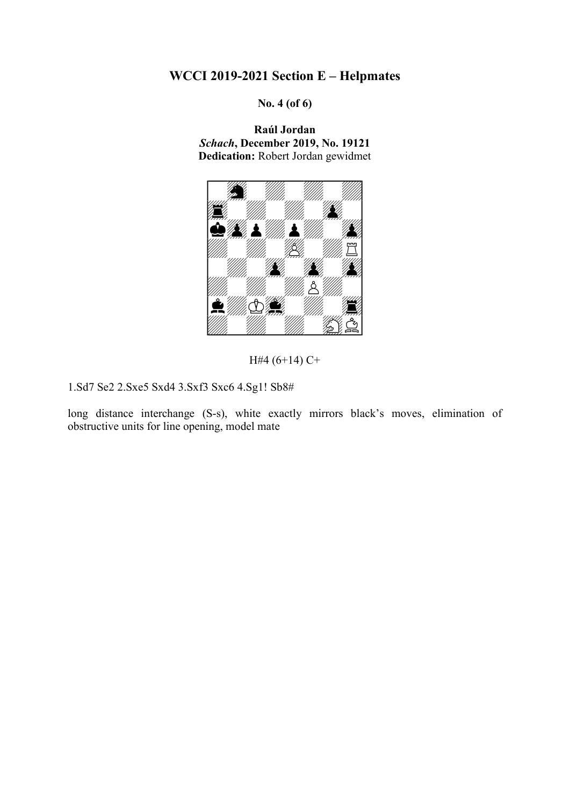No. 4 (of 6)

Raúl Jordan Schach, December 2019, No. 19121 Dedication: Robert Jordan gewidmet



H#4 (6+14) C+

1.Sd7 Se2 2.Sxe5 Sxd4 3.Sxf3 Sxc6 4.Sg1! Sb8#

long distance interchange (S-s), white exactly mirrors black's moves, elimination of obstructive units for line opening, model mate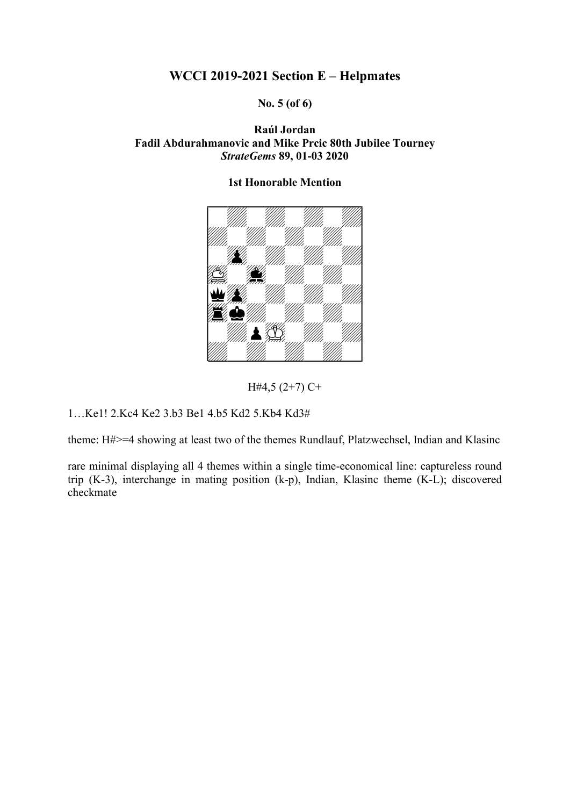### No. 5 (of 6)

### Raúl Jordan Fadil Abdurahmanovic and Mike Prcic 80th Jubilee Tourney StrateGems 89, 01-03 2020

# 

### 1st Honorable Mention

H#4,5 (2+7) C+

1…Ke1! 2.Kc4 Ke2 3.b3 Be1 4.b5 Kd2 5.Kb4 Kd3#

theme: H#>=4 showing at least two of the themes Rundlauf, Platzwechsel, Indian and Klasinc

rare minimal displaying all 4 themes within a single time-economical line: captureless round trip (K-3), interchange in mating position (k-p), Indian, Klasinc theme (K-L); discovered checkmate